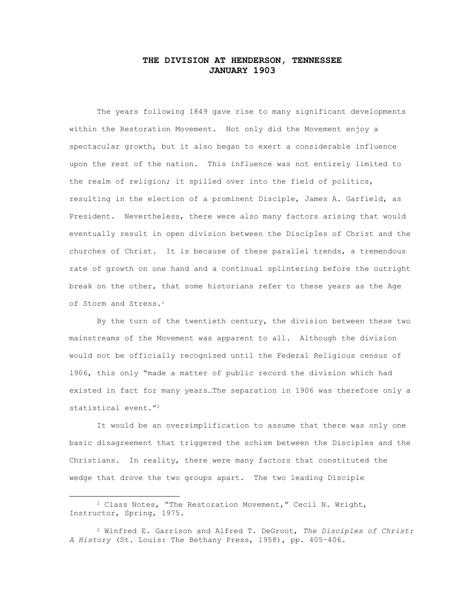# **THE DIVISION AT HENDERSON, TENNESSEE JANUARY 1903**

The years following 1849 gave rise to many significant developments within the Restoration Movement. Not only did the Movement enjoy a spectacular growth, but it also began to exert a considerable influence upon the rest of the nation. This influence was not entirely limited to the realm of religion; it spilled over into the field of politics, resulting in the election of a prominent Disciple, James A. Garfield, as President. Nevertheless, there were also many factors arising that would eventually result in open division between the Disciples of Christ and the churches of Christ. It is because of these parallel trends, a tremendous rate of growth on one hand and a continual splintering before the outright break on the other, that some historians refer to these years as the Age of Storm and Stress.<sup>1</sup>

By the turn of the twentieth century, the division between these two mainstreams of the Movement was apparent to all. Although the division would not be officially recognized until the Federal Religious census of 1906, this only "made a matter of public record the division which had existed in fact for many years…The separation in 1906 was therefore only a statistical event."<sup>2</sup>

It would be an oversimplification to assume that there was only one basic disagreement that triggered the schism between the Disciples and the Christians. In reality, there were many factors that constituted the wedge that drove the two groups apart. The two leading Disciple

<sup>1</sup> Class Notes, "The Restoration Movement," Cecil N. Wright, Instructor, Spring, 1975.

<sup>2</sup> Winfred E. Garrison and Alfred T. DeGroot, *The Disciples of Christ: A History* (St. Louis: The Bethany Press, 1958), pp. 405–406.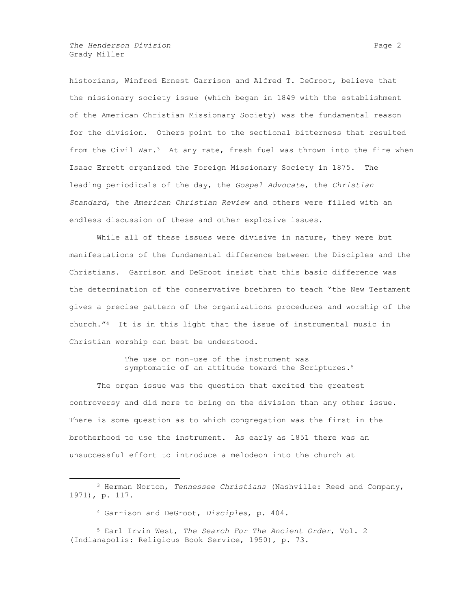*The Henderson Division* Page 2 Grady Miller

historians, Winfred Ernest Garrison and Alfred T. DeGroot, believe that the missionary society issue (which began in 1849 with the establishment of the American Christian Missionary Society) was the fundamental reason for the division. Others point to the sectional bitterness that resulted from the Civil War.<sup>3</sup> At any rate, fresh fuel was thrown into the fire when Isaac Errett organized the Foreign Missionary Society in 1875. The leading periodicals of the day, the *Gospel Advocate*, the *Christian Standard*, the *American Christian Review* and others were filled with an endless discussion of these and other explosive issues.

While all of these issues were divisive in nature, they were but manifestations of the fundamental difference between the Disciples and the Christians. Garrison and DeGroot insist that this basic difference was the determination of the conservative brethren to teach "the New Testament gives a precise pattern of the organizations procedures and worship of the church."4 It is in this light that the issue of instrumental music in Christian worship can best be understood.

> The use or non-use of the instrument was symptomatic of an attitude toward the Scriptures.<sup>5</sup>

The organ issue was the question that excited the greatest controversy and did more to bring on the division than any other issue. There is some question as to which congregation was the first in the brotherhood to use the instrument. As early as 1851 there was an unsuccessful effort to introduce a melodeon into the church at

<sup>3</sup> Herman Norton, *Tennessee Christians* (Nashville: Reed and Company, 1971), p. 117.

<sup>4</sup> Garrison and DeGroot, *Disciples*, p. 404.

<sup>5</sup> Earl Irvin West, *The Search For The Ancient Order*, Vol. 2 (Indianapolis: Religious Book Service, 1950), p. 73.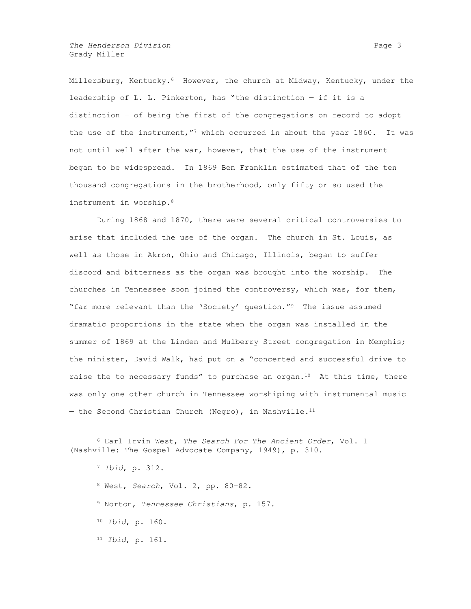*The Henderson Division* Page 3 Grady Miller

Millersburg, Kentucky.<sup>6</sup> However, the church at Midway, Kentucky, under the leadership of L. L. Pinkerton, has "the distinction — if it is a distinction — of being the first of the congregations on record to adopt the use of the instrument,  $n^7$  which occurred in about the year 1860. It was not until well after the war, however, that the use of the instrument began to be widespread. In 1869 Ben Franklin estimated that of the ten thousand congregations in the brotherhood, only fifty or so used the instrument in worship.<sup>8</sup>

During 1868 and 1870, there were several critical controversies to arise that included the use of the organ. The church in St. Louis, as well as those in Akron, Ohio and Chicago, Illinois, began to suffer discord and bitterness as the organ was brought into the worship. The churches in Tennessee soon joined the controversy, which was, for them, "far more relevant than the 'Society' question."9 The issue assumed dramatic proportions in the state when the organ was installed in the summer of 1869 at the Linden and Mulberry Street congregation in Memphis; the minister, David Walk, had put on a "concerted and successful drive to raise the to necessary funds" to purchase an organ.<sup>10</sup> At this time, there was only one other church in Tennessee worshiping with instrumental music  $-$  the Second Christian Church (Negro), in Nashville.<sup>11</sup>

- <sup>8</sup> West, *Search*, Vol. 2, pp. 80–82.
- <sup>9</sup> Norton, *Tennessee Christians*, p. 157.
- <sup>10</sup> *Ibid*, p. 160.
- <sup>11</sup> *Ibid*, p. 161.

<sup>6</sup> Earl Irvin West, *The Search For The Ancient Order*, Vol. 1 (Nashville: The Gospel Advocate Company, 1949), p. 310.

<sup>7</sup> *Ibid*, p. 312.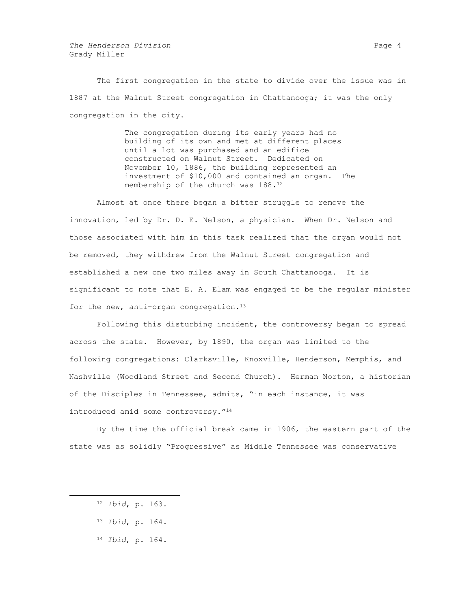*The Henderson Division* Page 4 Grady Miller

The first congregation in the state to divide over the issue was in 1887 at the Walnut Street congregation in Chattanooga; it was the only congregation in the city.

> The congregation during its early years had no building of its own and met at different places until a lot was purchased and an edifice constructed on Walnut Street. Dedicated on November 10, 1886, the building represented an investment of \$10,000 and contained an organ. The membership of the church was 188.<sup>12</sup>

Almost at once there began a bitter struggle to remove the innovation, led by Dr. D. E. Nelson, a physician. When Dr. Nelson and those associated with him in this task realized that the organ would not be removed, they withdrew from the Walnut Street congregation and established a new one two miles away in South Chattanooga. It is significant to note that E. A. Elam was engaged to be the regular minister for the new, anti-organ congregation. $^{13}$ 

Following this disturbing incident, the controversy began to spread across the state. However, by 1890, the organ was limited to the following congregations: Clarksville, Knoxville, Henderson, Memphis, and Nashville (Woodland Street and Second Church). Herman Norton, a historian of the Disciples in Tennessee, admits, "in each instance, it was introduced amid some controversy."<sup>14</sup>

By the time the official break came in 1906, the eastern part of the state was as solidly "Progressive" as Middle Tennessee was conservative

 $\overline{a}$ 

<sup>14</sup> *Ibid*, p. 164.

<sup>12</sup> *Ibid*, p. 163.

<sup>13</sup> *Ibid*, p. 164.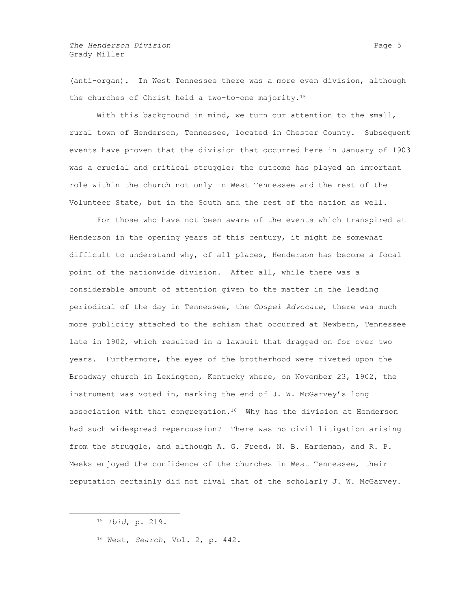(anti–organ). In West Tennessee there was a more even division, although the churches of Christ held a two–to–one majority.<sup>15</sup>

With this background in mind, we turn our attention to the small, rural town of Henderson, Tennessee, located in Chester County. Subsequent events have proven that the division that occurred here in January of 1903 was a crucial and critical struggle; the outcome has played an important role within the church not only in West Tennessee and the rest of the Volunteer State, but in the South and the rest of the nation as well.

For those who have not been aware of the events which transpired at Henderson in the opening years of this century, it might be somewhat difficult to understand why, of all places, Henderson has become a focal point of the nationwide division. After all, while there was a considerable amount of attention given to the matter in the leading periodical of the day in Tennessee, the *Gospel Advocate*, there was much more publicity attached to the schism that occurred at Newbern, Tennessee late in 1902, which resulted in a lawsuit that dragged on for over two years. Furthermore, the eyes of the brotherhood were riveted upon the Broadway church in Lexington, Kentucky where, on November 23, 1902, the instrument was voted in, marking the end of J. W. McGarvey's long association with that congregation.16 Why has the division at Henderson had such widespread repercussion? There was no civil litigation arising from the struggle, and although A. G. Freed, N. B. Hardeman, and R. P. Meeks enjoyed the confidence of the churches in West Tennessee, their reputation certainly did not rival that of the scholarly J. W. McGarvey.

<sup>15</sup> *Ibid*, p. 219.

<sup>16</sup> West, *Search*, Vol. 2, p. 442.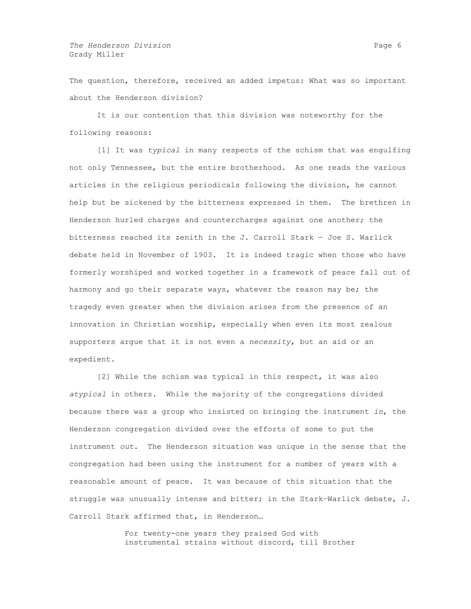The question, therefore, received an added impetus: What was so important about the Henderson division?

It is our contention that this division was noteworthy for the following reasons:

[1] It was *typical* in many respects of the schism that was engulfing not only Tennessee, but the entire brotherhood. As one reads the various articles in the religious periodicals following the division, he cannot help but be sickened by the bitterness expressed in them. The brethren in Henderson hurled charges and countercharges against one another; the bitterness reached its zenith in the J. Carroll Stark — Joe S. Warlick debate held in November of 1903. It is indeed tragic when those who have formerly worshiped and worked together in a framework of peace fall out of harmony and go their separate ways, whatever the reason may be; the tragedy even greater when the division arises from the presence of an innovation in Christian worship, especially when even its most zealous supporters argue that it is not even a *necessity*, but an aid or an expedient.

[2] While the schism was typical in this respect, it was also *atypical* in others. While the majority of the congregations divided because there was a group who insisted on bringing the instrument *in*, the Henderson congregation divided over the efforts of some to put the instrument *out*. The Henderson situation was unique in the sense that the congregation had been using the instrument for a number of years with a reasonable amount of peace. It was because of this situation that the struggle was unusually intense and bitter; in the Stark–Warlick debate, J. Carroll Stark affirmed that, in Henderson…

> For twenty-one years they praised God with instrumental strains without discord, till Brother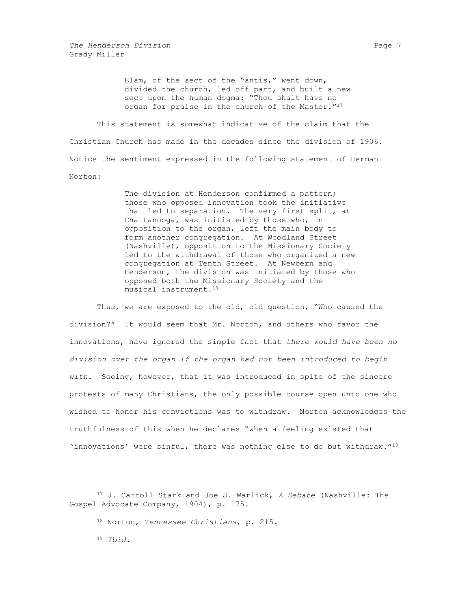*The Henderson Division* Page 7 Grady Miller

> Elam, of the sect of the "antis," went down, divided the church, led off part, and built a new sect upon the human dogma: "Thou shalt have no organ for praise in the church of the Master."<sup>17</sup>

This statement is somewhat indicative of the claim that the Christian Church has made in the decades since the division of 1906. Notice the sentiment expressed in the following statement of Herman Norton:

> The division at Henderson confirmed a pattern; those who opposed innovation took the initiative that led to separation. The very first split, at Chattanooga, was initiated by those who, in opposition to the organ, left the main body to form another congregation. At Woodland Street (Nashville), opposition to the Missionary Society led to the withdrawal of those who organized a new congregation at Tenth Street. At Newbern and Henderson, the division was initiated by those who opposed both the Missionary Society and the musical instrument.<sup>18</sup>

Thus, we are exposed to the old, old question, "Who caused the division?" It would seem that Mr. Norton, and others who favor the innovations, have ignored the simple fact that *there would have been no division over the organ if the organ had not been introduced to begin with.* Seeing, however, that it was introduced in spite of the sincere protests of many Christians, the only possible course open unto one who wished to honor his convictions was to withdraw. Norton acknowledges the truthfulness of this when he declares "when a feeling existed that 'innovations' were sinful, there was nothing else to do but withdraw."<sup>19</sup>

<sup>19</sup> *Ibid*.

<sup>17</sup> J. Carroll Stark and Joe S. Warlick, *A Debate* (Nashville: The Gospel Advocate Company, 1904), p. 175.

<sup>18</sup> Norton, *Tennessee Christians*, p. 215.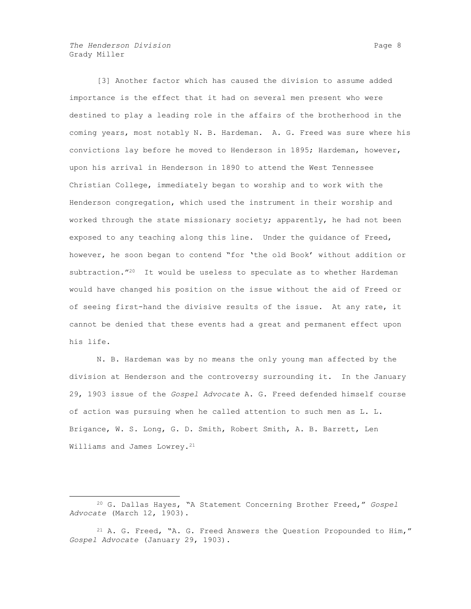*The Henderson Division* Page 8 Grady Miller

 $\overline{a}$ 

[3] Another factor which has caused the division to assume added importance is the effect that it had on several men present who were destined to play a leading role in the affairs of the brotherhood in the coming years, most notably N. B. Hardeman. A. G. Freed was sure where his convictions lay before he moved to Henderson in 1895; Hardeman, however, upon his arrival in Henderson in 1890 to attend the West Tennessee Christian College, immediately began to worship and to work with the Henderson congregation, which used the instrument in their worship and worked through the state missionary society; apparently, he had not been exposed to any teaching along this line. Under the guidance of Freed, however, he soon began to contend "for 'the old Book' without addition or subtraction."20 It would be useless to speculate as to whether Hardeman would have changed his position on the issue without the aid of Freed or of seeing first-hand the divisive results of the issue. At any rate, it cannot be denied that these events had a great and permanent effect upon his life.

N. B. Hardeman was by no means the only young man affected by the division at Henderson and the controversy surrounding it. In the January 29, 1903 issue of the *Gospel Advocate* A. G. Freed defended himself course of action was pursuing when he called attention to such men as L. L. Brigance, W. S. Long, G. D. Smith, Robert Smith, A. B. Barrett, Len Williams and James Lowrey.<sup>21</sup>

<sup>20</sup> G. Dallas Hayes, "A Statement Concerning Brother Freed," *Gospel Advocate* (March 12, 1903).

<sup>&</sup>lt;sup>21</sup> A. G. Freed, "A. G. Freed Answers the Question Propounded to Him," *Gospel Advocate* (January 29, 1903).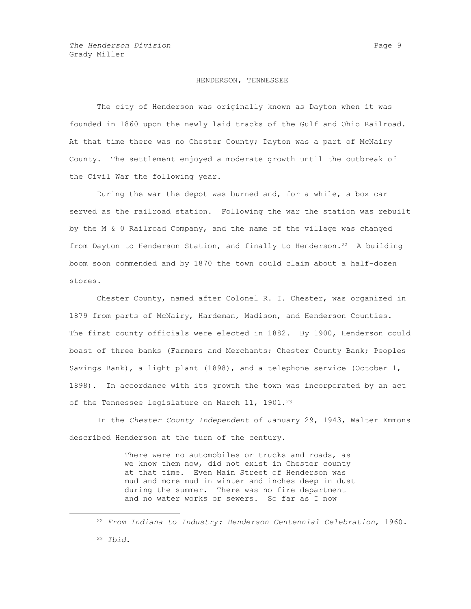# HENDERSON, TENNESSEE

The city of Henderson was originally known as Dayton when it was founded in 1860 upon the newly–laid tracks of the Gulf and Ohio Railroad. At that time there was no Chester County; Dayton was a part of McNairy County. The settlement enjoyed a moderate growth until the outbreak of the Civil War the following year.

During the war the depot was burned and, for a while, a box car served as the railroad station. Following the war the station was rebuilt by the M & 0 Railroad Company, and the name of the village was changed from Dayton to Henderson Station, and finally to Henderson.<sup>22</sup> A building boom soon commended and by 1870 the town could claim about a half-dozen stores.

Chester County, named after Colonel R. I. Chester, was organized in 1879 from parts of McNairy, Hardeman, Madison, and Henderson Counties. The first county officials were elected in 1882. By 1900, Henderson could boast of three banks (Farmers and Merchants; Chester County Bank; Peoples Savings Bank), a light plant (1898), and a telephone service (October 1, 1898). In accordance with its growth the town was incorporated by an act of the Tennessee legislature on March 11, 1901.<sup>23</sup>

In the *Chester County Independent* of January 29, 1943, Walter Emmons described Henderson at the turn of the century.

> There were no automobiles or trucks and roads, as we know them now, did not exist in Chester county at that time. Even Main Street of Henderson was mud and more mud in winter and inches deep in dust during the summer. There was no fire department and no water works or sewers. So far as I now

<sup>22</sup> *From Indiana to Industry: Henderson Centennial Celebration*, 1960.

<sup>23</sup> *Ibid*.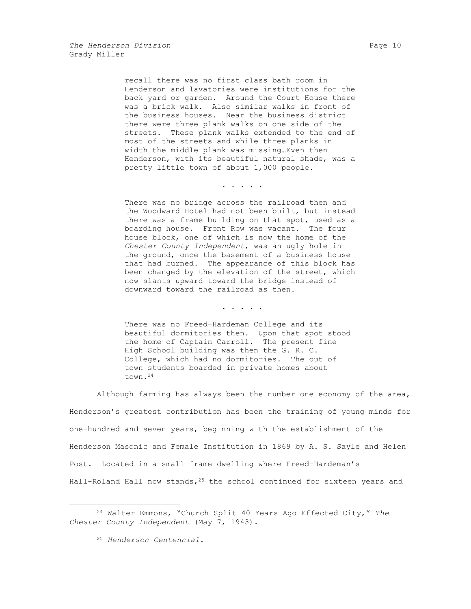recall there was no first class bath room in Henderson and lavatories were institutions for the back yard or garden. Around the Court House there was a brick walk. Also similar walks in front of the business houses. Near the business district there were three plank walks on one side of the streets. These plank walks extended to the end of most of the streets and while three planks in width the middle plank was missing…Even then Henderson, with its beautiful natural shade, was a pretty little town of about 1,000 people.

. . . . .

There was no bridge across the railroad then and the Woodward Hotel had not been built, but instead there was a frame building on that spot, used as a boarding house. Front Row was vacant. The four house block, one of which is now the home of the *Chester County Independent*, was an ugly hole in the ground, once the basement of a business house that had burned. The appearance of this block has been changed by the elevation of the street, which now slants upward toward the bridge instead of downward toward the railroad as then.

. . . . .

There was no Freed–Hardeman College and its beautiful dormitories then. Upon that spot stood the home of Captain Carroll. The present fine High School building was then the G. R. C. College, which had no dormitories. The out of town students boarded in private homes about town.<sup>24</sup>

Although farming has always been the number one economy of the area, Henderson's greatest contribution has been the training of young minds for one-hundred and seven years, beginning with the establishment of the Henderson Masonic and Female Institution in 1869 by A. S. Sayle and Helen Post. Located in a small frame dwelling where Freed–Hardeman's Hall-Roland Hall now stands, 25 the school continued for sixteen years and

<sup>24</sup> Walter Emmons, "Church Split 40 Years Ago Effected City," *The Chester County Independent* (May 7, 1943).

<sup>25</sup> *Henderson Centennial*.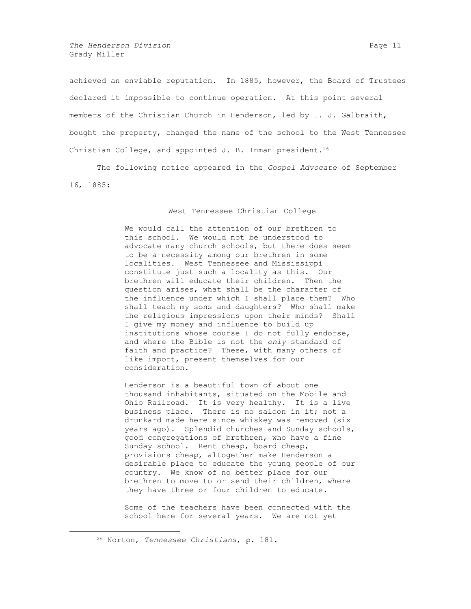*The Henderson Division* **Page 11 Page 11 Page 11** Grady Miller

achieved an enviable reputation. In 1885, however, the Board of Trustees declared it impossible to continue operation. At this point several members of the Christian Church in Henderson, led by I. J. Galbraith, bought the property, changed the name of the school to the West Tennessee Christian College, and appointed J. B. Inman president.<sup>26</sup>

The following notice appeared in the *Gospel Advocate* of September 16, 1885:

#### West Tennessee Christian College

We would call the attention of our brethren to this school. We would not be understood to advocate many church schools, but there does seem to be a necessity among our brethren in some localities. West Tennessee and Mississippi constitute just such a locality as this. Our brethren will educate their children. Then the question arises, what shall be the character of the influence under which I shall place them? Who shall teach my sons and daughters? Who shall make the religious impressions upon their minds? Shall I give my money and influence to build up institutions whose course I do not fully endorse, and where the Bible is not the *only* standard of faith and practice? These, with many others of like import, present themselves for our consideration.

Henderson is a beautiful town of about one thousand inhabitants, situated on the Mobile and Ohio Railroad. It is very healthy. It is a live business place. There is no saloon in it; not a drunkard made here since whiskey was removed (six years ago). Splendid churches and Sunday schools, good congregations of brethren, who have a fine Sunday school. Rent cheap, board cheap, provisions cheap, altogether make Henderson a desirable place to educate the young people of our country. We know of no better place for our brethren to move to or send their children, where they have three or four children to educate.

Some of the teachers have been connected with the school here for several years. We are not yet

<sup>26</sup> Norton, *Tennessee Christians*, p. 181.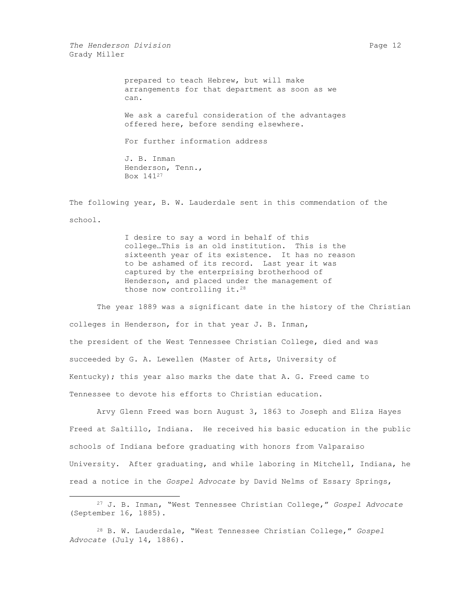*The Henderson Division* **Page 12 Page 12** Grady Miller

 $\overline{a}$ 

prepared to teach Hebrew, but will make arrangements for that department as soon as we can.

We ask a careful consideration of the advantages offered here, before sending elsewhere.

For further information address

J. B. Inman Henderson, Tenn., Box 141<sup>27</sup>

The following year, B. W. Lauderdale sent in this commendation of the school.

> I desire to say a word in behalf of this college…This is an old institution. This is the sixteenth year of its existence. It has no reason to be ashamed of its record. Last year it was captured by the enterprising brotherhood of Henderson, and placed under the management of those now controlling it.<sup>28</sup>

The year 1889 was a significant date in the history of the Christian colleges in Henderson, for in that year J. B. Inman, the president of the West Tennessee Christian College, died and was succeeded by G. A. Lewellen (Master of Arts, University of Kentucky); this year also marks the date that A. G. Freed came to Tennessee to devote his efforts to Christian education.

Arvy Glenn Freed was born August 3, 1863 to Joseph and Eliza Hayes Freed at Saltillo, Indiana. He received his basic education in the public schools of Indiana before graduating with honors from Valparaiso University. After graduating, and while laboring in Mitchell, Indiana, he read a notice in the *Gospel Advocate* by David Nelms of Essary Springs,

<sup>27</sup> J. B. Inman, "West Tennessee Christian College," *Gospel Advocate* (September 16, 1885).

<sup>28</sup> B. W. Lauderdale, "West Tennessee Christian College," *Gospel Advocate* (July 14, 1886).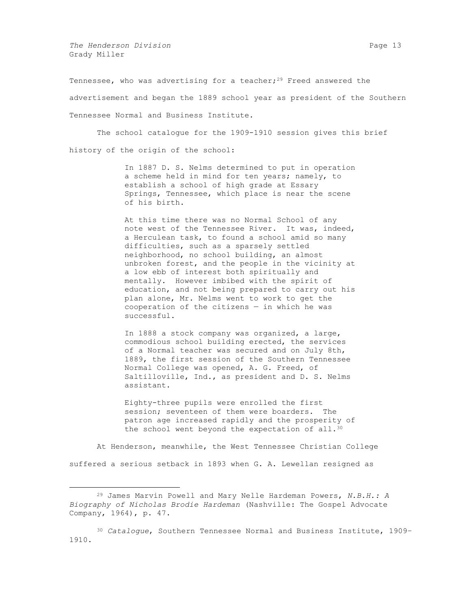*The Henderson Division* **Page 13 Page 13** Grady Miller

 $\overline{a}$ 

Tennessee, who was advertising for a teacher;<sup>29</sup> Freed answered the advertisement and began the 1889 school year as president of the Southern Tennessee Normal and Business Institute.

The school catalogue for the 1909-1910 session gives this brief history of the origin of the school:

> In 1887 D. S. Nelms determined to put in operation a scheme held in mind for ten years; namely, to establish a school of high grade at Essary Springs, Tennessee, which place is near the scene of his birth.

> At this time there was no Normal School of any note west of the Tennessee River. It was, indeed, a Herculean task, to found a school amid so many difficulties, such as a sparsely settled neighborhood, no school building, an almost unbroken forest, and the people in the vicinity at a low ebb of interest both spiritually and mentally. However imbibed with the spirit of education, and not being prepared to carry out his plan alone, Mr. Nelms went to work to get the cooperation of the citizens  $-$  in which he was successful.

In 1888 a stock company was organized, a large, commodious school building erected, the services of a Normal teacher was secured and on July 8th, 1889, the first session of the Southern Tennessee Normal College was opened, A. G. Freed, of Saltilloville, Ind., as president and D. S. Nelms assistant.

Eighty-three pupils were enrolled the first session; seventeen of them were boarders. The patron age increased rapidly and the prosperity of the school went beyond the expectation of all.<sup>30</sup>

At Henderson, meanwhile, the West Tennessee Christian College suffered a serious setback in 1893 when G. A. Lewellan resigned as

<sup>30</sup> *Catalogue*, Southern Tennessee Normal and Business Institute, 1909– 1910.

<sup>29</sup> James Marvin Powell and Mary Nelle Hardeman Powers, *N.B.H.: A Biography of Nicholas Brodie Hardeman* (Nashville: The Gospel Advocate Company, 1964), p. 47.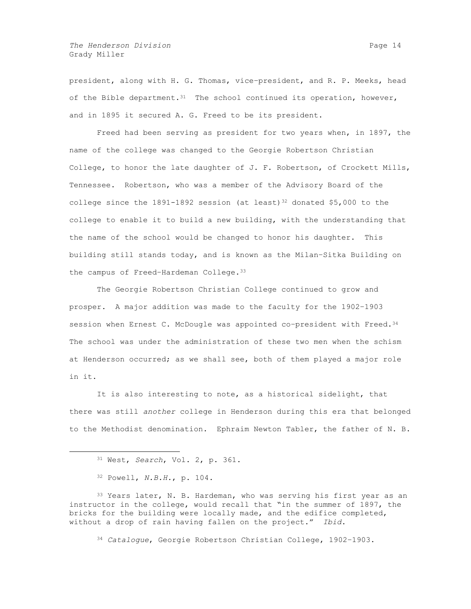*The Henderson Division* **Page 14 Page 14** Grady Miller

president, along with H. G. Thomas, vice–president, and R. P. Meeks, head of the Bible department.  $31$  The school continued its operation, however, and in 1895 it secured A. G. Freed to be its president.

Freed had been serving as president for two years when, in 1897, the name of the college was changed to the Georgie Robertson Christian College, to honor the late daughter of J. F. Robertson, of Crockett Mills, Tennessee. Robertson, who was a member of the Advisory Board of the college since the 1891-1892 session (at least)<sup>32</sup> donated \$5,000 to the college to enable it to build a new building, with the understanding that the name of the school would be changed to honor his daughter. This building still stands today, and is known as the Milan–Sitka Building on the campus of Freed-Hardeman College.<sup>33</sup>

The Georgie Robertson Christian College continued to grow and prosper. A major addition was made to the faculty for the 1902–1903 session when Ernest C. McDougle was appointed co-president with Freed.<sup>34</sup> The school was under the administration of these two men when the schism at Henderson occurred; as we shall see, both of them played a major role in it.

It is also interesting to note, as a historical sidelight, that there was still *another* college in Henderson during this era that belonged to the Methodist denomination. Ephraim Newton Tabler, the father of N. B.

 $\overline{a}$ 

33 Years later, N. B. Hardeman, who was serving his first year as an instructor in the college, would recall that "in the summer of 1897, the bricks for the building were locally made, and the edifice completed, without a drop of rain having fallen on the project." *Ibid*.

<sup>34</sup> *Catalogue*, Georgie Robertson Christian College, 1902–1903.

<sup>31</sup> West, *Search*, Vol. 2, p. 361.

<sup>32</sup> Powell, *N.B.H.*, p. 104.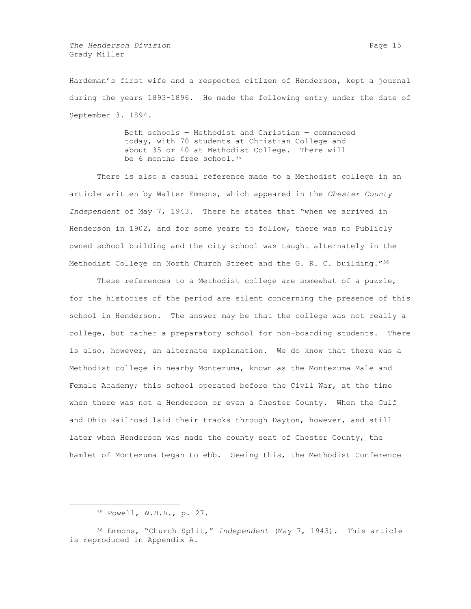*The Henderson Division* **Page 15 Page 15** Grady Miller

Hardeman's first wife and a respected citizen of Henderson, kept a journal during the years 1893-1896. He made the following entry under the date of September 3. 1894.

> Both schools — Methodist and Christian — commenced today, with 70 students at Christian College and about 35 or 40 at Methodist College. There will be 6 months free school.<sup>35</sup>

There is also a casual reference made to a Methodist college in an article written by Walter Emmons, which appeared in the *Chester County Independent* of May 7, 1943. There he states that "when we arrived in Henderson in 1902, and for some years to follow, there was no Publicly owned school building and the city school was taught alternately in the Methodist College on North Church Street and the G. R. C. building."36

These references to a Methodist college are somewhat of a puzzle, for the histories of the period are silent concerning the presence of this school in Henderson. The answer may be that the college was not really a college, but rather a preparatory school for non-boarding students. There is also, however, an alternate explanation. We do know that there was a Methodist college in nearby Montezuma, known as the Montezuma Male and Female Academy; this school operated before the Civil War, at the time when there was not a Henderson or even a Chester County. When the Gulf and Ohio Railroad laid their tracks through Dayton, however, and still later when Henderson was made the county seat of Chester County, the hamlet of Montezuma began to ebb. Seeing this, the Methodist Conference

<sup>35</sup> Powell, *N.B.H.*, p. 27.

<sup>36</sup> Emmons, "Church Split," *Independent* (May 7, 1943). This article is reproduced in Appendix A.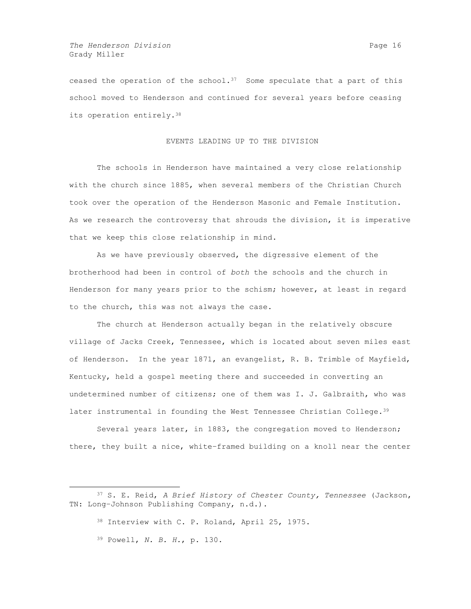ceased the operation of the school. $37$  Some speculate that a part of this school moved to Henderson and continued for several years before ceasing its operation entirely.<sup>38</sup>

## EVENTS LEADING UP TO THE DIVISION

The schools in Henderson have maintained a very close relationship with the church since 1885, when several members of the Christian Church took over the operation of the Henderson Masonic and Female Institution. As we research the controversy that shrouds the division, it is imperative that we keep this close relationship in mind.

As we have previously observed, the digressive element of the brotherhood had been in control of *both* the schools and the church in Henderson for many years prior to the schism; however, at least in regard to the church, this was not always the case.

The church at Henderson actually began in the relatively obscure village of Jacks Creek, Tennessee, which is located about seven miles east of Henderson. In the year 1871, an evangelist, R. B. Trimble of Mayfield, Kentucky, held a gospel meeting there and succeeded in converting an undetermined number of citizens; one of them was I. J. Galbraith, who was later instrumental in founding the West Tennessee Christian College.<sup>39</sup>

Several years later, in 1883, the congregation moved to Henderson; there, they built a nice, white–framed building on a knoll near the center

<sup>39</sup> Powell, *N. B. H.*, p. 130.

<sup>37</sup> S. E. Reid, *A Brief History of Chester County, Tennessee* (Jackson, TN: Long–Johnson Publishing Company, n.d.).

<sup>38</sup> Interview with C. P. Roland, April 25, 1975.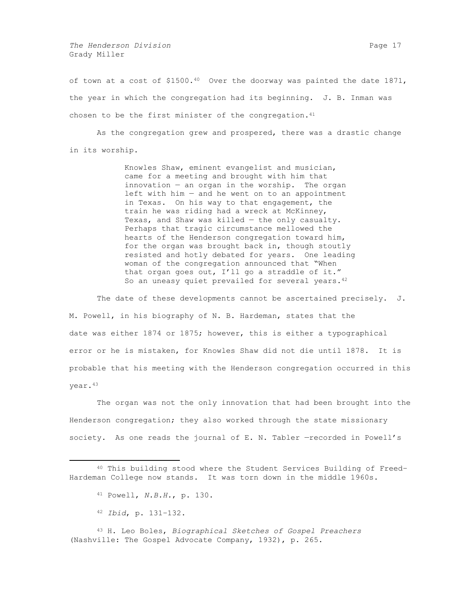*The Henderson Division* **Page 17 Page 17** Grady Miller

of town at a cost of \$1500.40 Over the doorway was painted the date 1871, the year in which the congregation had its beginning. J. B. Inman was chosen to be the first minister of the congregation. $41$ 

As the congregation grew and prospered, there was a drastic change in its worship.

> Knowles Shaw, eminent evangelist and musician, came for a meeting and brought with him that innovation — an organ in the worship. The organ left with him  $-$  and he went on to an appointment in Texas. On his way to that engagement, the train he was riding had a wreck at McKinney, Texas, and Shaw was killed — the only casualty. Perhaps that tragic circumstance mellowed the hearts of the Henderson congregation toward him, for the organ was brought back in, though stoutly resisted and hotly debated for years. One leading woman of the congregation announced that "When that organ goes out, I'll go a straddle of it." So an uneasy quiet prevailed for several years.<sup>42</sup>

The date of these developments cannot be ascertained precisely. J. M. Powell, in his biography of N. B. Hardeman, states that the date was either 1874 or 1875; however, this is either a typographical error or he is mistaken, for Knowles Shaw did not die until 1878. It is probable that his meeting with the Henderson congregation occurred in this year.<sup>43</sup>

The organ was not the only innovation that had been brought into the Henderson congregation; they also worked through the state missionary society. As one reads the journal of E. N. Tabler —recorded in Powell's

 $\overline{a}$ 

<sup>43</sup> H. Leo Boles, *Biographical Sketches of Gospel Preachers* (Nashville: The Gospel Advocate Company, 1932), p. 265.

<sup>40</sup> This building stood where the Student Services Building of Freed– Hardeman College now stands. It was torn down in the middle 1960s.

<sup>41</sup> Powell, *N.B.H.*, p. 130.

<sup>42</sup> *Ibid*, p. 131–132.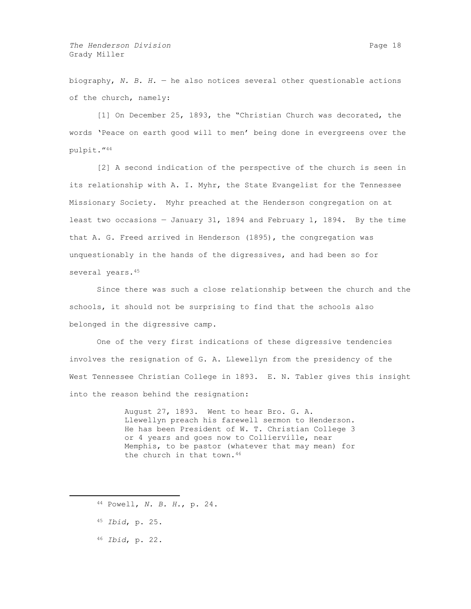biography, *N. B. H.* — he also notices several other questionable actions of the church, namely:

[1] On December 25, 1893, the "Christian Church was decorated, the words 'Peace on earth good will to men' being done in evergreens over the pulpit."<sup>44</sup>

[2] A second indication of the perspective of the church is seen in its relationship with A. I. Myhr, the State Evangelist for the Tennessee Missionary Society. Myhr preached at the Henderson congregation on at least two occasions — January 31, 1894 and February 1, 1894. By the time that A. G. Freed arrived in Henderson (1895), the congregation was unquestionably in the hands of the digressives, and had been so for several years.<sup>45</sup>

Since there was such a close relationship between the church and the schools, it should not be surprising to find that the schools also belonged in the digressive camp.

One of the very first indications of these digressive tendencies involves the resignation of G. A. Llewellyn from the presidency of the West Tennessee Christian College in 1893. E. N. Tabler gives this insight into the reason behind the resignation:

> August 27, 1893. Went to hear Bro. G. A. Llewellyn preach his farewell sermon to Henderson. He has been President of W. T. Christian College 3 or 4 years and goes now to Collierville, near Memphis, to be pastor (whatever that may mean) for the church in that town.<sup>46</sup>

- <sup>44</sup> Powell, *N. B. H.*, p. 24.
- <sup>45</sup> *Ibid*, p. 25.

 $\overline{a}$ 

<sup>46</sup> *Ibid*, p. 22.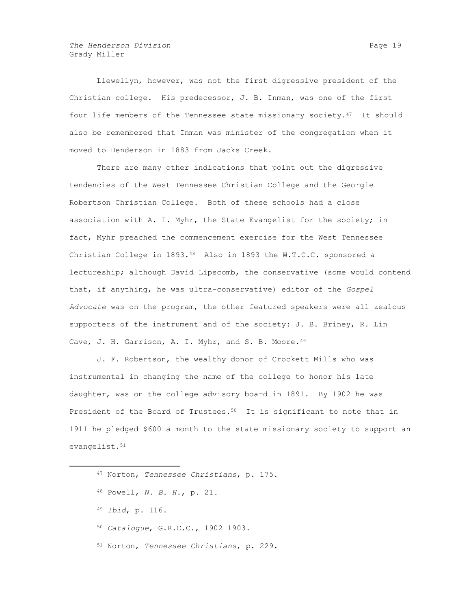Llewellyn, however, was not the first digressive president of the Christian college. His predecessor, J. B. Inman, was one of the first four life members of the Tennessee state missionary society. $47$  It should also be remembered that Inman was minister of the congregation when it moved to Henderson in 1883 from Jacks Creek.

There are many other indications that point out the digressive tendencies of the West Tennessee Christian College and the Georgie Robertson Christian College. Both of these schools had a close association with A. I. Myhr, the State Evangelist for the society; in fact, Myhr preached the commencement exercise for the West Tennessee Christian College in 1893.48 Also in 1893 the W.T.C.C. sponsored a lectureship; although David Lipscomb, the conservative (some would contend that, if anything, he was ultra-conservative) editor of the *Gospel Advocate* was on the program, the other featured speakers were all zealous supporters of the instrument and of the society: J. B. Briney, R. Lin Cave, J. H. Garrison, A. I. Myhr, and S. B. Moore.<sup>49</sup>

J. F. Robertson, the wealthy donor of Crockett Mills who was instrumental in changing the name of the college to honor his late daughter, was on the college advisory board in 1891. By 1902 he was President of the Board of Trustees.<sup>50</sup> It is significant to note that in 1911 he pledged \$600 a month to the state missionary society to support an evangelist.<sup>51</sup>

<sup>47</sup> Norton, *Tennessee Christians*, p. 175.

<sup>48</sup> Powell, *N. B. H.*, p. 21.

<sup>49</sup> *Ibid*, p. 116.

<sup>50</sup> *Catalogue*, G.R.C.C., 1902–1903.

<sup>51</sup> Norton, *Tennessee Christians*, p. 229.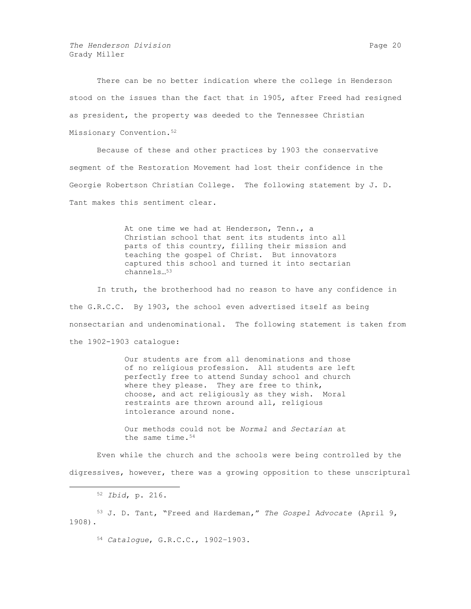*The Henderson Division* **Page 20 Page 20 Page 20 Page 20** Grady Miller

There can be no better indication where the college in Henderson stood on the issues than the fact that in 1905, after Freed had resigned as president, the property was deeded to the Tennessee Christian Missionary Convention.<sup>52</sup>

Because of these and other practices by 1903 the conservative segment of the Restoration Movement had lost their confidence in the Georgie Robertson Christian College. The following statement by J. D. Tant makes this sentiment clear.

> At one time we had at Henderson, Tenn., a Christian school that sent its students into all parts of this country, filling their mission and teaching the gospel of Christ. But innovators captured this school and turned it into sectarian channels…<sup>53</sup>

In truth, the brotherhood had no reason to have any confidence in the G.R.C.C. By 1903, the school even advertised itself as being nonsectarian and undenominational. The following statement is taken from the 1902-1903 catalogue:

> Our students are from all denominations and those of no religious profession. All students are left perfectly free to attend Sunday school and church where they please. They are free to think, choose, and act religiously as they wish. Moral restraints are thrown around all, religious intolerance around none.

Our methods could not be *Normal* and *Sectarian* at the same time.<sup>54</sup>

Even while the church and the schools were being controlled by the digressives, however, there was a growing opposition to these unscriptural

 $\overline{a}$ 

<sup>53</sup> J. D. Tant, "Freed and Hardeman," *The Gospel Advocate* (April 9, 1908).

<sup>54</sup> *Catalogue*, G.R.C.C., 1902–1903.

<sup>52</sup> *Ibid*, p. 216.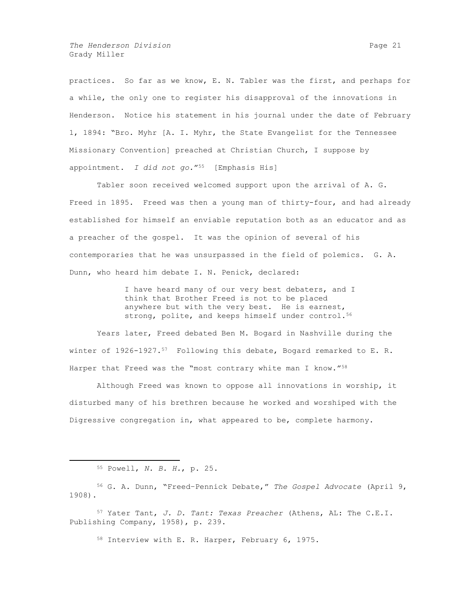*The Henderson Division* **Page 21 Page 21 Page 21** Grady Miller

practices. So far as we know, E. N. Tabler was the first, and perhaps for a while, the only one to register his disapproval of the innovations in Henderson. Notice his statement in his journal under the date of February 1, 1894: "Bro. Myhr [A. I. Myhr, the State Evangelist for the Tennessee Missionary Convention] preached at Christian Church, I suppose by appointment. *I did not go.*"55 [Emphasis His]

Tabler soon received welcomed support upon the arrival of A. G. Freed in 1895. Freed was then a young man of thirty-four, and had already established for himself an enviable reputation both as an educator and as a preacher of the gospel. It was the opinion of several of his contemporaries that he was unsurpassed in the field of polemics. G. A. Dunn, who heard him debate I. N. Penick, declared:

> I have heard many of our very best debaters, and I think that Brother Freed is not to be placed anywhere but with the very best. He is earnest, strong, polite, and keeps himself under control.<sup>56</sup>

Years later, Freed debated Ben M. Bogard in Nashville during the winter of  $1926-1927.57$  Following this debate, Bogard remarked to E.R. Harper that Freed was the "most contrary white man I know."<sup>58</sup>

Although Freed was known to oppose all innovations in worship, it disturbed many of his brethren because he worked and worshiped with the Digressive congregation in, what appeared to be, complete harmony.

 $\overline{a}$ 

<sup>58</sup> Interview with E. R. Harper, February 6, 1975.

<sup>55</sup> Powell, *N. B. H.*, p. 25.

<sup>56</sup> G. A. Dunn, "Freed–Pennick Debate," *The Gospel Advocate* (April 9, 1908).

<sup>57</sup> Yater Tant, *J. D. Tant: Texas Preacher* (Athens, AL: The C.E.I. Publishing Company, 1958), p. 239.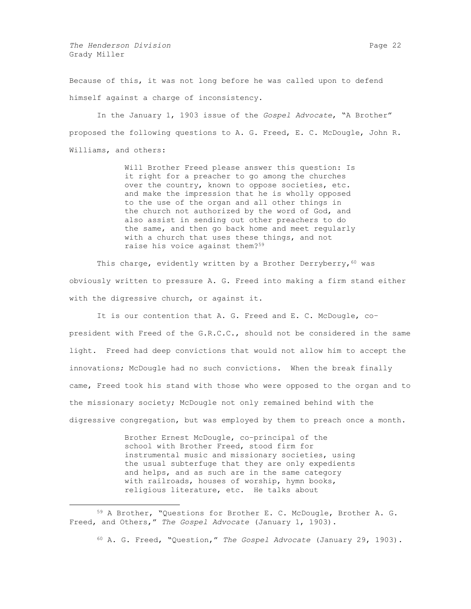*The Henderson Division* **Page 22 Page 22** Grady Miller

 $\overline{a}$ 

Because of this, it was not long before he was called upon to defend himself against a charge of inconsistency.

In the January 1, 1903 issue of the *Gospel Advocate*, "A Brother" proposed the following questions to A. G. Freed, E. C. McDougle, John R. Williams, and others:

> Will Brother Freed please answer this question: Is it right for a preacher to go among the churches over the country, known to oppose societies, etc. and make the impression that he is wholly opposed to the use of the organ and all other things in the church not authorized by the word of God, and also assist in sending out other preachers to do the same, and then go back home and meet regularly with a church that uses these things, and not raise his voice against them?<sup>59</sup>

This charge, evidently written by a Brother Derryberry,  $60$  was obviously written to pressure A. G. Freed into making a firm stand either with the digressive church, or against it.

It is our contention that A. G. Freed and E. C. McDougle, co– president with Freed of the G.R.C.C., should not be considered in the same light. Freed had deep convictions that would not allow him to accept the innovations; McDougle had no such convictions. When the break finally came, Freed took his stand with those who were opposed to the organ and to the missionary society; McDougle not only remained behind with the digressive congregation, but was employed by them to preach once a month.

> Brother Ernest McDougle, co–principal of the school with Brother Freed, stood firm for instrumental music and missionary societies, using the usual subterfuge that they are only expedients and helps, and as such are in the same category with railroads, houses of worship, hymn books, religious literature, etc. He talks about

<sup>59</sup> A Brother, "Questions for Brother E. C. McDougle, Brother A. G. Freed, and Others," *The Gospel Advocate* (January 1, 1903).

<sup>60</sup> A. G. Freed, "Question," *The Gospel Advocate* (January 29, 1903).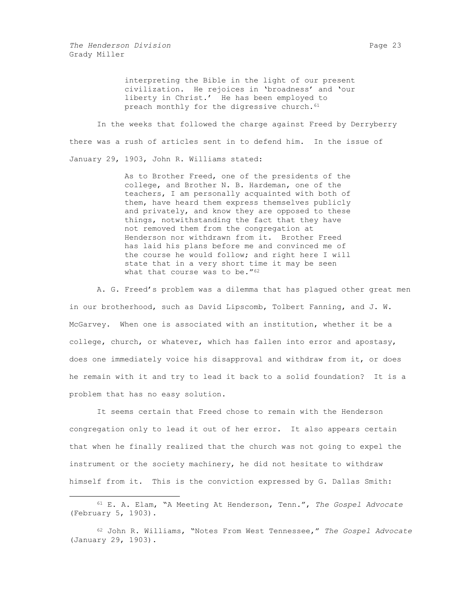$\overline{a}$ 

interpreting the Bible in the light of our present civilization. He rejoices in 'broadness' and 'our liberty in Christ.' He has been employed to preach monthly for the digressive church.<sup>61</sup>

In the weeks that followed the charge against Freed by Derryberry there was a rush of articles sent in to defend him. In the issue of January 29, 1903, John R. Williams stated:

> As to Brother Freed, one of the presidents of the college, and Brother N. B. Hardeman, one of the teachers, I am personally acquainted with both of them, have heard them express themselves publicly and privately, and know they are opposed to these things, notwithstanding the fact that they have not removed them from the congregation at Henderson nor withdrawn from it. Brother Freed has laid his plans before me and convinced me of the course he would follow; and right here I will state that in a very short time it may be seen what that course was to be."<sup>62</sup>

A. G. Freed's problem was a dilemma that has plagued other great men in our brotherhood, such as David Lipscomb, Tolbert Fanning, and J. W. McGarvey. When one is associated with an institution, whether it be a college, church, or whatever, which has fallen into error and apostasy, does one immediately voice his disapproval and withdraw from it, or does he remain with it and try to lead it back to a solid foundation? It is a problem that has no easy solution.

It seems certain that Freed chose to remain with the Henderson congregation only to lead it out of her error. It also appears certain that when he finally realized that the church was not going to expel the instrument or the society machinery, he did not hesitate to withdraw himself from it. This is the conviction expressed by G. Dallas Smith:

<sup>61</sup> E. A. Elam, "A Meeting At Henderson, Tenn.", *The Gospel Advocate* (February 5, 1903).

<sup>62</sup> John R. Williams, "Notes From West Tennessee," *The Gospel Advocate* (January 29, 1903).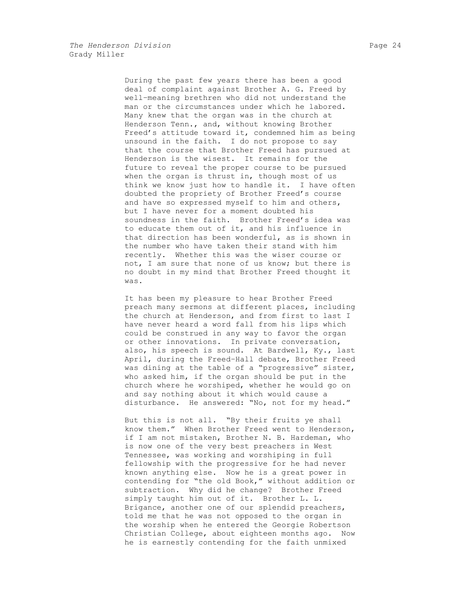During the past few years there has been a good deal of complaint against Brother A. G. Freed by well–meaning brethren who did not understand the man or the circumstances under which he labored. Many knew that the organ was in the church at Henderson Tenn., and, without knowing Brother Freed's attitude toward it, condemned him as being unsound in the faith. I do not propose to say that the course that Brother Freed has pursued at Henderson is the wisest. It remains for the future to reveal the proper course to be pursued when the organ is thrust in, though most of us think we know just how to handle it. I have often doubted the propriety of Brother Freed's course and have so expressed myself to him and others, but I have never for a moment doubted his soundness in the faith. Brother Freed's idea was to educate them out of it, and his influence in that direction has been wonderful, as is shown in the number who have taken their stand with him recently. Whether this was the wiser course or not, I am sure that none of us know; but there is no doubt in my mind that Brother Freed thought it was.

It has been my pleasure to hear Brother Freed preach many sermons at different places, including the church at Henderson, and from first to last I have never heard a word fall from his lips which could be construed in any way to favor the organ or other innovations. In private conversation, also, his speech is sound. At Bardwell, Ky., last April, during the Freed–Hall debate, Brother Freed was dining at the table of a "progressive" sister, who asked him, if the organ should be put in the church where he worshiped, whether he would go on and say nothing about it which would cause a disturbance. He answered: "No, not for my head."

But this is not all. "By their fruits ye shall know them." When Brother Freed went to Henderson, if I am not mistaken, Brother N. B. Hardeman, who is now one of the very best preachers in West Tennessee, was working and worshiping in full fellowship with the progressive for he had never known anything else. Now he is a great power in contending for "the old Book," without addition or subtraction. Why did he change? Brother Freed simply taught him out of it. Brother L. L. Brigance, another one of our splendid preachers, told me that he was not opposed to the organ in the worship when he entered the Georgie Robertson Christian College, about eighteen months ago. Now he is earnestly contending for the faith unmixed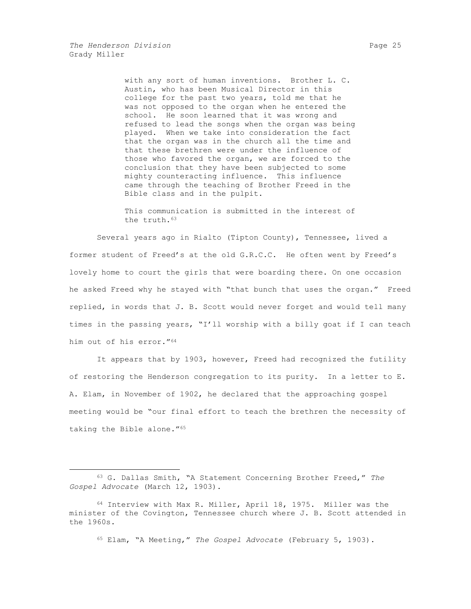$\overline{a}$ 

with any sort of human inventions. Brother L. C. Austin, who has been Musical Director in this college for the past two years, told me that he was not opposed to the organ when he entered the school. He soon learned that it was wrong and refused to lead the songs when the organ was being played. When we take into consideration the fact that the organ was in the church all the time and that these brethren were under the influence of those who favored the organ, we are forced to the conclusion that they have been subjected to some mighty counteracting influence. This influence came through the teaching of Brother Freed in the Bible class and in the pulpit.

This communication is submitted in the interest of the truth.<sup>63</sup>

Several years ago in Rialto (Tipton County), Tennessee, lived a former student of Freed's at the old G.R.C.C. He often went by Freed's lovely home to court the girls that were boarding there. On one occasion he asked Freed why he stayed with "that bunch that uses the organ." Freed replied, in words that J. B. Scott would never forget and would tell many times in the passing years, "I'll worship with a billy goat if I can teach him out of his error."<sup>64</sup>

It appears that by 1903, however, Freed had recognized the futility of restoring the Henderson congregation to its purity. In a letter to E. A. Elam, in November of 1902, he declared that the approaching gospel meeting would be "our final effort to teach the brethren the necessity of taking the Bible alone."<sup>65</sup>

<sup>65</sup> Elam, "A Meeting," *The Gospel Advocate* (February 5, 1903).

<sup>63</sup> G. Dallas Smith, "A Statement Concerning Brother Freed," *The Gospel Advocate* (March 12, 1903).

<sup>64</sup> Interview with Max R. Miller, April 18, 1975. Miller was the minister of the Covington, Tennessee church where J. B. Scott attended in the 1960s.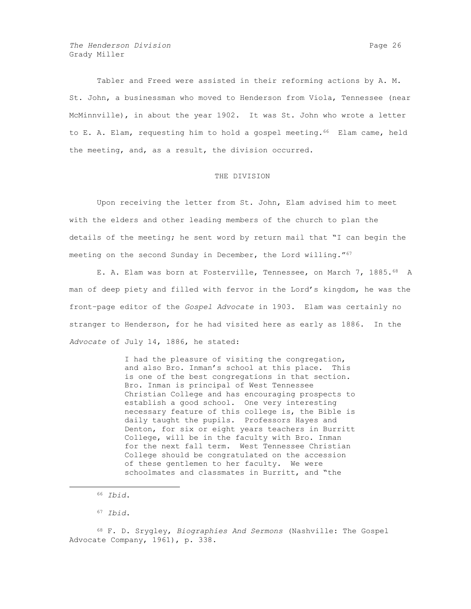Tabler and Freed were assisted in their reforming actions by A. M. St. John, a businessman who moved to Henderson from Viola, Tennessee (near McMinnville), in about the year 1902. It was St. John who wrote a letter to E. A. Elam, requesting him to hold a gospel meeting.<sup>66</sup> Elam came, held the meeting, and, as a result, the division occurred.

#### THE DIVISION

Upon receiving the letter from St. John, Elam advised him to meet with the elders and other leading members of the church to plan the details of the meeting; he sent word by return mail that "I can begin the meeting on the second Sunday in December, the Lord willing."67

E. A. Elam was born at Fosterville, Tennessee, on March 7, 1885.<sup>68</sup> A man of deep piety and filled with fervor in the Lord's kingdom, he was the front–page editor of the *Gospel Advocate* in 1903. Elam was certainly no stranger to Henderson, for he had visited here as early as 1886. In the *Advocate* of July 14, 1886, he stated:

> I had the pleasure of visiting the congregation, and also Bro. Inman's school at this place. This is one of the best congregations in that section. Bro. Inman is principal of West Tennessee Christian College and has encouraging prospects to establish a good school. One very interesting necessary feature of this college is, the Bible is daily taught the pupils. Professors Hayes and Denton, for six or eight years teachers in Burritt College, will be in the faculty with Bro. Inman for the next fall term. West Tennessee Christian College should be congratulated on the accession of these gentlemen to her faculty. We were schoolmates and classmates in Burritt, and "the

 $\overline{a}$ 

<sup>68</sup> F. D. Srygley, *Biographies And Sermons* (Nashville: The Gospel Advocate Company, 1961), p. 338.

<sup>66</sup> *Ibid*.

<sup>67</sup> *Ibid*.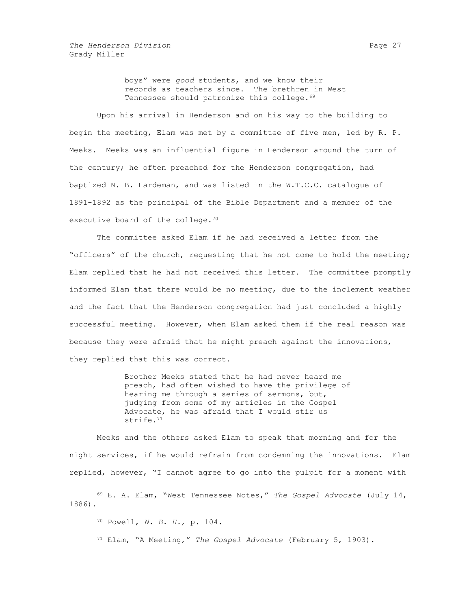boys" were *good* students, and we know their records as teachers since. The brethren in West Tennessee should patronize this college.<sup>69</sup>

Upon his arrival in Henderson and on his way to the building to begin the meeting, Elam was met by a committee of five men, led by R. P. Meeks. Meeks was an influential figure in Henderson around the turn of the century; he often preached for the Henderson congregation, had baptized N. B. Hardeman, and was listed in the W.T.C.C. catalogue of 1891-1892 as the principal of the Bible Department and a member of the executive board of the college.<sup>70</sup>

The committee asked Elam if he had received a letter from the "officers" of the church, requesting that he not come to hold the meeting; Elam replied that he had not received this letter. The committee promptly informed Elam that there would be no meeting, due to the inclement weather and the fact that the Henderson congregation had just concluded a highly successful meeting. However, when Elam asked them if the real reason was because they were afraid that he might preach against the innovations, they replied that this was correct.

> Brother Meeks stated that he had never heard me preach, had often wished to have the privilege of hearing me through a series of sermons, but, judging from some of my articles in the Gospel Advocate, he was afraid that I would stir us strife.<sup>71</sup>

Meeks and the others asked Elam to speak that morning and for the night services, if he would refrain from condemning the innovations. Elam replied, however, "I cannot agree to go into the pulpit for a moment with

 $\overline{a}$ 

<sup>71</sup> Elam, "A Meeting," *The Gospel Advocate* (February 5, 1903).

<sup>69</sup> E. A. Elam, "West Tennessee Notes," *The Gospel Advocate* (July 14, 1886).

<sup>70</sup> Powell, *N. B. H.*, p. 104.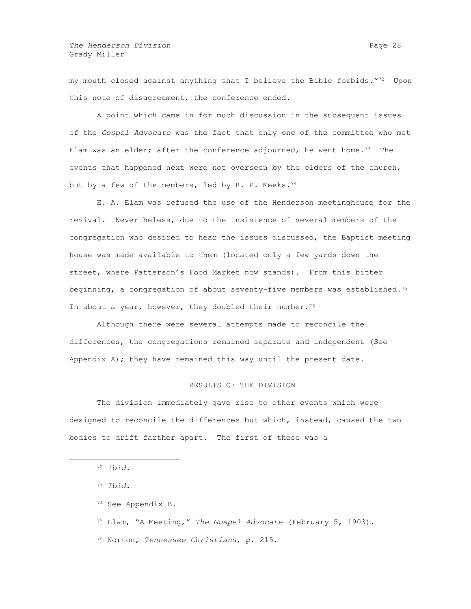my mouth closed against anything that I believe the Bible forbids."72 Upon this note of disagreement, the conference ended.

A point which came in for much discussion in the subsequent issues of the *Gospel Advocate* was the fact that only one of the committee who met Elam was an elder; after the conference adjourned, he went home.<sup>73</sup> The events that happened next were not overseen by the elders of the church, but by a few of the members, led by R. P. Meeks.<sup>74</sup>

E. A. Elam was refused the use of the Henderson meetinghouse for the revival. Nevertheless, due to the insistence of several members of the congregation who desired to hear the issues discussed, the Baptist meeting house was made available to them (located only a few yards down the street, where Patterson's Food Market now stands). From this bitter beginning, a congregation of about seventy-five members was established.<sup>75</sup> In about a year, however, they doubled their number.<sup>76</sup>

Although there were several attempts made to reconcile the differences, the congregations remained separate and independent (See Appendix  $A$ ); they have remained this way until the present date.

# RESULTS OF THE DIVISION

The division immediately gave rise to other events which were designed to reconcile the differences but which, instead, caused the two bodies to drift farther apart. The first of these was a

- <sup>75</sup> Elam, "A Meeting," *The Gospel Advocate* (February 5, 1903).
- <sup>76</sup> Norton, *Tennessee Christians*, p. 215.

<sup>72</sup> *Ibid*.

<sup>73</sup> *Ibid*.

<sup>74</sup> See Appendix B.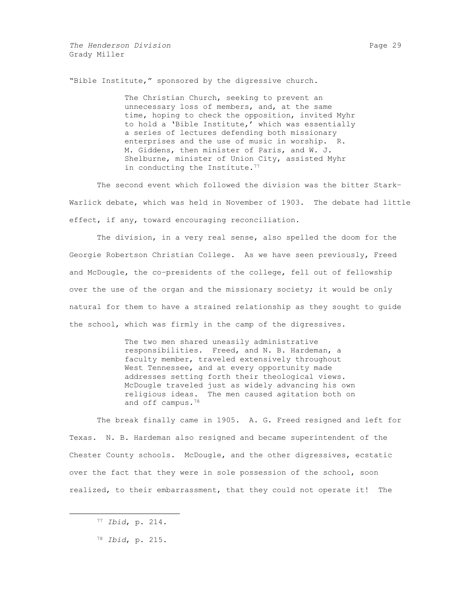"Bible Institute," sponsored by the digressive church.

The Christian Church, seeking to prevent an unnecessary loss of members, and, at the same time, hoping to check the opposition, invited Myhr to hold a 'Bible Institute,' which was essentially a series of lectures defending both missionary enterprises and the use of music in worship. R. M. Giddens, then minister of Paris, and W. J. Shelburne, minister of Union City, assisted Myhr in conducting the Institute.<sup>77</sup>

The second event which followed the division was the bitter Stark– Warlick debate, which was held in November of 1903. The debate had little effect, if any, toward encouraging reconciliation.

The division, in a very real sense, also spelled the doom for the Georgie Robertson Christian College. As we have seen previously, Freed and McDougle, the co–presidents of the college, fell out of fellowship over the use of the organ and the missionary society; it would be only natural for them to have a strained relationship as they sought to guide the school, which was firmly in the camp of the digressives.

> The two men shared uneasily administrative responsibilities. Freed, and N. B. Hardeman, a faculty member, traveled extensively throughout West Tennessee, and at every opportunity made addresses setting forth their theological views. McDougle traveled just as widely advancing his own religious ideas. The men caused agitation both on and off campus.<sup>78</sup>

The break finally came in 1905. A. G. Freed resigned and left for Texas. N. B. Hardeman also resigned and became superintendent of the Chester County schools. McDougle, and the other digressives, ecstatic over the fact that they were in sole possession of the school, soon realized, to their embarrassment, that they could not operate it! The

<sup>77</sup> *Ibid*, p. 214.

<sup>78</sup> *Ibid*, p. 215.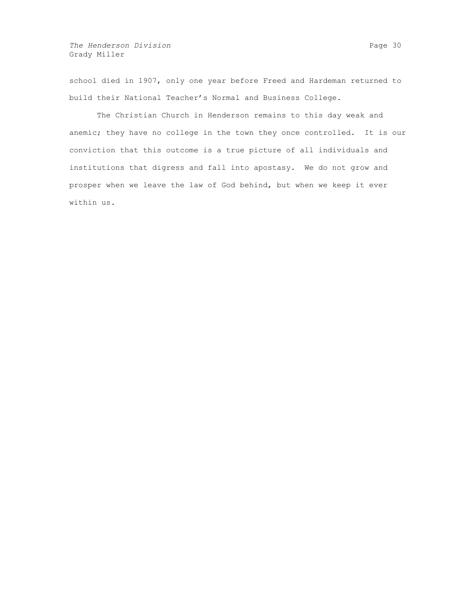school died in 1907, only one year before Freed and Hardeman returned to build their National Teacher's Normal and Business College.

The Christian Church in Henderson remains to this day weak and anemic; they have no college in the town they once controlled. It is our conviction that this outcome is a true picture of all individuals and institutions that digress and fall into apostasy. We do not grow and prosper when we leave the law of God behind, but when we keep it ever within us.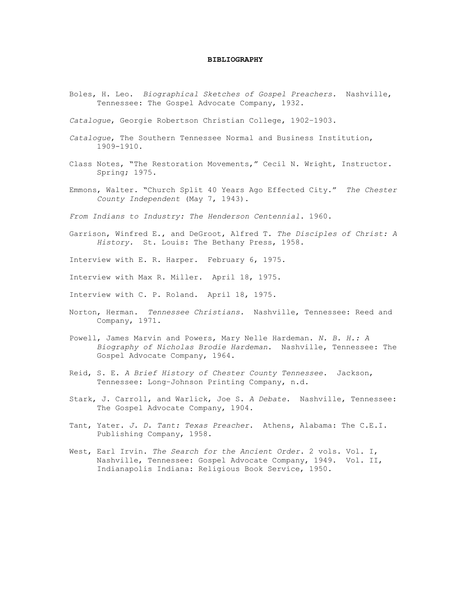## **BIBLIOGRAPHY**

Boles, H. Leo. *Biographical Sketches of Gospel Preachers.* Nashville, Tennessee: The Gospel Advocate Company, 1932.

*Catalogue*, Georgie Robertson Christian College, 1902–1903.

- *Catalogue*, The Southern Tennessee Normal and Business Institution, 1909-1910.
- Class Notes, "The Restoration Movements," Cecil N. Wright, Instructor. Spring; 1975.
- Emmons, Walter. "Church Split 40 Years Ago Effected City." *The Chester County Independent* (May 7, 1943).

*From Indians to Industry: The Henderson Centennial*. 1960.

- Garrison, Winfred E., and DeGroot, Alfred T. *The Disciples of Christ: A History.* St. Louis: The Bethany Press, 1958.
- Interview with E. R. Harper. February 6, 1975.
- Interview with Max R. Miller. April 18, 1975.
- Interview with C. P. Roland. April 18, 1975.
- Norton, Herman. *Tennessee Christians.* Nashville, Tennessee: Reed and Company, 1971.
- Powell, James Marvin and Powers, Mary Nelle Hardeman. *N. B. H.: A Biography of Nicholas Brodie Hardeman*. Nashville, Tennessee: The Gospel Advocate Company, 1964.
- Reid, S. E. *A Brief History of Chester County Tennessee*. Jackson, Tennessee: Long–Johnson Printing Company, n.d.
- Stark, J. Carroll, and Warlick, Joe S. *A Debate*. Nashville, Tennessee: The Gospel Advocate Company, 1904.
- Tant, Yater. *J. D. Tant: Texas Preacher*. Athens, Alabama: The C.E.I. Publishing Company, 1958.
- West, Earl Irvin. *The Search for the Ancient Order*. 2 vols. Vol. I, Nashville, Tennessee: Gospel Advocate Company, 1949. Vol. II, Indianapolis Indiana: Religious Book Service, 1950.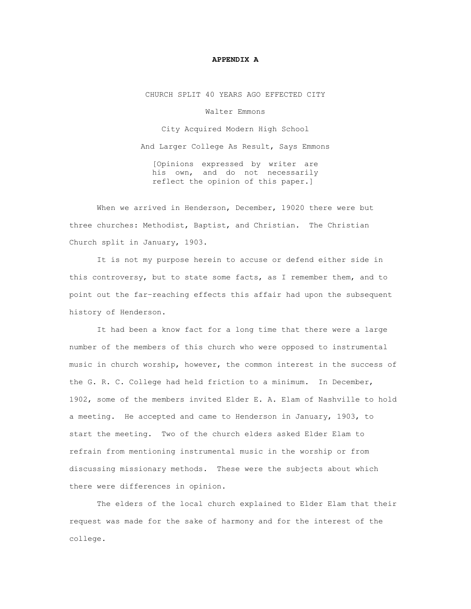## **APPENDIX A**

CHURCH SPLIT 40 YEARS AGO EFFECTED CITY

Walter Emmons

City Acquired Modern High School And Larger College As Result, Says Emmons

[Opinions expressed by writer are his own, and do not necessarily reflect the opinion of this paper.]

When we arrived in Henderson, December, 19020 there were but three churches: Methodist, Baptist, and Christian. The Christian Church split in January, 1903.

It is not my purpose herein to accuse or defend either side in this controversy, but to state some facts, as I remember them, and to point out the far–reaching effects this affair had upon the subsequent history of Henderson.

It had been a know fact for a long time that there were a large number of the members of this church who were opposed to instrumental music in church worship, however, the common interest in the success of the G. R. C. College had held friction to a minimum. In December, 1902, some of the members invited Elder E. A. Elam of Nashville to hold a meeting. He accepted and came to Henderson in January, 1903, to start the meeting. Two of the church elders asked Elder Elam to refrain from mentioning instrumental music in the worship or from discussing missionary methods. These were the subjects about which there were differences in opinion.

The elders of the local church explained to Elder Elam that their request was made for the sake of harmony and for the interest of the college.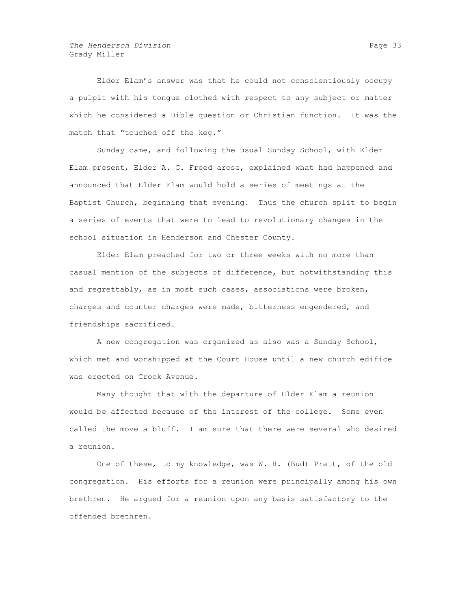Elder Elam's answer was that he could not conscientiously occupy a pulpit with his tongue clothed with respect to any subject or matter which he considered a Bible question or Christian function. It was the match that "touched off the keg."

Sunday came, and following the usual Sunday School, with Elder Elam present, Elder A. G. Freed arose, explained what had happened and announced that Elder Elam would hold a series of meetings at the Baptist Church, beginning that evening. Thus the church split to begin a series of events that were to lead to revolutionary changes in the school situation in Henderson and Chester County.

Elder Elam preached for two or three weeks with no more than casual mention of the subjects of difference, but notwithstanding this and regrettably, as in most such cases, associations were broken, charges and counter charges were made, bitterness engendered, and friendships sacrificed.

A new congregation was organized as also was a Sunday School, which met and worshipped at the Court House until a new church edifice was erected on Crook Avenue.

Many thought that with the departure of Elder Elam a reunion would be affected because of the interest of the college. Some even called the move a bluff. I am sure that there were several who desired a reunion.

One of these, to my knowledge, was W. H. (Bud) Pratt, of the old congregation. His efforts for a reunion were principally among his own brethren. He argued for a reunion upon any basis satisfactory to the offended brethren.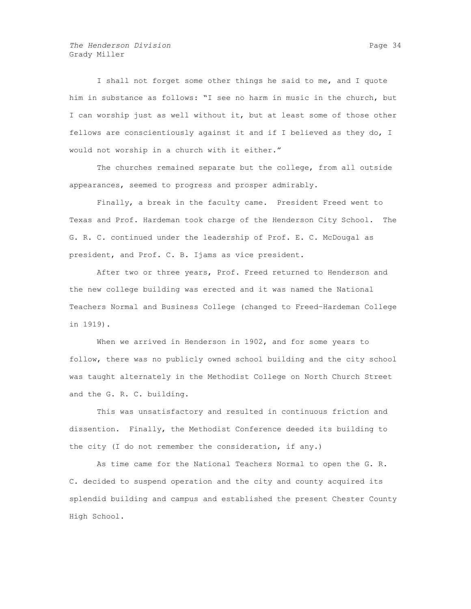*The Henderson Division* **Page 34 Page 34** Grady Miller

I shall not forget some other things he said to me, and I quote him in substance as follows: "I see no harm in music in the church, but I can worship just as well without it, but at least some of those other fellows are conscientiously against it and if I believed as they do, I would not worship in a church with it either."

The churches remained separate but the college, from all outside appearances, seemed to progress and prosper admirably.

Finally, a break in the faculty came. President Freed went to Texas and Prof. Hardeman took charge of the Henderson City School. The G. R. C. continued under the leadership of Prof. E. C. McDougal as president, and Prof. C. B. Ijams as vice president.

After two or three years, Prof. Freed returned to Henderson and the new college building was erected and it was named the National Teachers Normal and Business College (changed to Freed–Hardeman College in 1919).

When we arrived in Henderson in 1902, and for some years to follow, there was no publicly owned school building and the city school was taught alternately in the Methodist College on North Church Street and the G. R. C. building.

This was unsatisfactory and resulted in continuous friction and dissention. Finally, the Methodist Conference deeded its building to the city (I do not remember the consideration, if any.)

As time came for the National Teachers Normal to open the G. R. C. decided to suspend operation and the city and county acquired its splendid building and campus and established the present Chester County High School.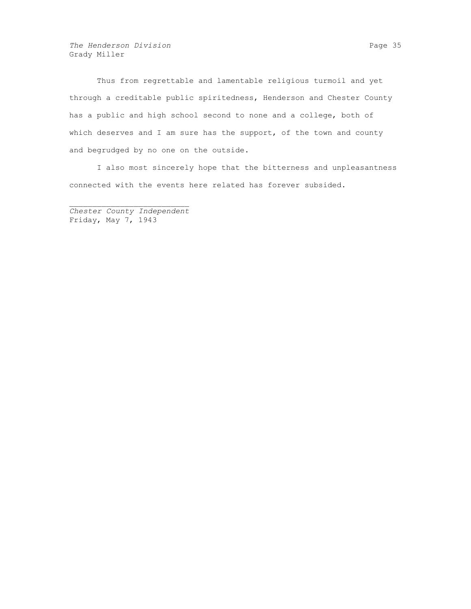The Henderson Division **Page 35** and Page 35 Grady Miller

Thus from regrettable and lamentable religious turmoil and yet through a creditable public spiritedness, Henderson and Chester County has a public and high school second to none and a college, both of which deserves and I am sure has the support, of the town and county and begrudged by no one on the outside.

I also most sincerely hope that the bitterness and unpleasantness connected with the events here related has forever subsided.

*Chester County Independent* Friday, May 7, 1943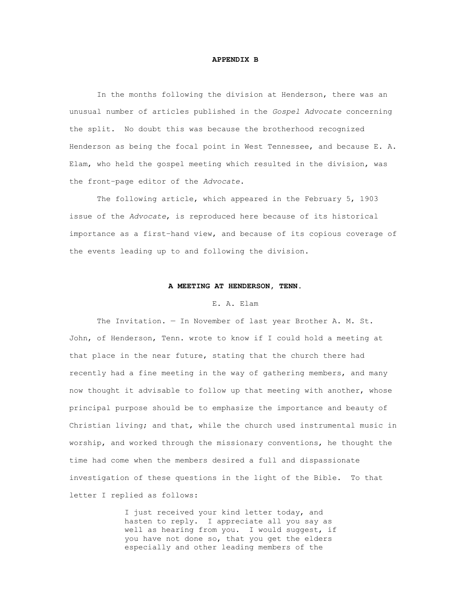## **APPENDIX B**

In the months following the division at Henderson, there was an unusual number of articles published in the *Gospel Advocate* concerning the split. No doubt this was because the brotherhood recognized Henderson as being the focal point in West Tennessee, and because E. A. Elam, who held the gospel meeting which resulted in the division, was the front–page editor of the *Advocate*.

The following article, which appeared in the February 5, 1903 issue of the *Advocate*, is reproduced here because of its historical importance as a first–hand view, and because of its copious coverage of the events leading up to and following the division.

#### **A MEETING AT HENDERSON, TENN.**

### E. A. Elam

The Invitation. — In November of last year Brother A. M. St. John, of Henderson, Tenn. wrote to know if I could hold a meeting at that place in the near future, stating that the church there had recently had a fine meeting in the way of gathering members, and many now thought it advisable to follow up that meeting with another, whose principal purpose should be to emphasize the importance and beauty of Christian living; and that, while the church used instrumental music in worship, and worked through the missionary conventions, he thought the time had come when the members desired a full and dispassionate investigation of these questions in the light of the Bible. To that letter I replied as follows:

> I just received your kind letter today, and hasten to reply. I appreciate all you say as well as hearing from you. I would suggest, if you have not done so, that you get the elders especially and other leading members of the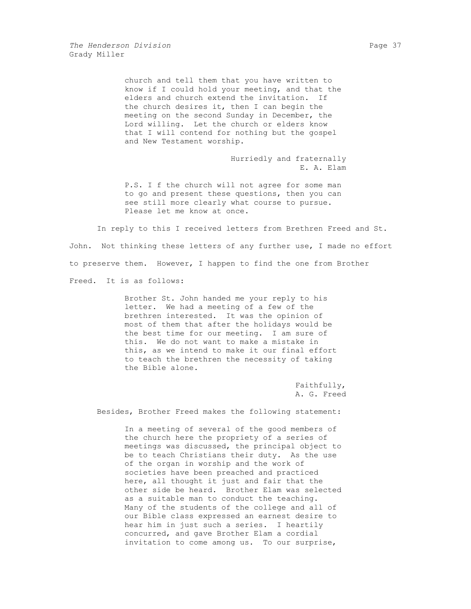church and tell them that you have written to know if I could hold your meeting, and that the elders and church extend the invitation. If the church desires it, then I can begin the meeting on the second Sunday in December, the Lord willing. Let the church or elders know that I will contend for nothing but the gospel and New Testament worship.

> Hurriedly and fraternally E. A. Elam

P.S. I f the church will not agree for some man to go and present these questions, then you can see still more clearly what course to pursue. Please let me know at once.

In reply to this I received letters from Brethren Freed and St. John. Not thinking these letters of any further use, I made no effort to preserve them. However, I happen to find the one from Brother Freed. It is as follows:

> Brother St. John handed me your reply to his letter. We had a meeting of a few of the brethren interested. It was the opinion of most of them that after the holidays would be the best time for our meeting. I am sure of this. We do not want to make a mistake in this, as we intend to make it our final effort to teach the brethren the necessity of taking the Bible alone.

> > Faithfully, A. G. Freed

Besides, Brother Freed makes the following statement:

In a meeting of several of the good members of the church here the propriety of a series of meetings was discussed, the principal object to be to teach Christians their duty. As the use of the organ in worship and the work of societies have been preached and practiced here, all thought it just and fair that the other side be heard. Brother Elam was selected as a suitable man to conduct the teaching. Many of the students of the college and all of our Bible class expressed an earnest desire to hear him in just such a series. I heartily concurred, and gave Brother Elam a cordial invitation to come among us. To our surprise,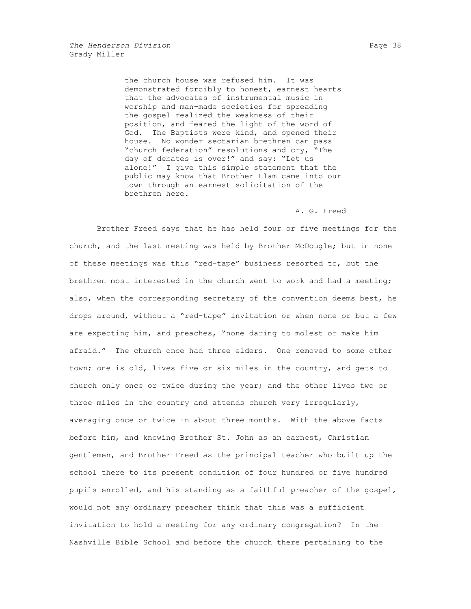the church house was refused him. It was demonstrated forcibly to honest, earnest hearts that the advocates of instrumental music in worship and man–made societies for spreading the gospel realized the weakness of their position, and feared the light of the word of God. The Baptists were kind, and opened their house. No wonder sectarian brethren can pass "church federation" resolutions and cry, "The day of debates is over!" and say: "Let us alone!" I give this simple statement that the public may know that Brother Elam came into our town through an earnest solicitation of the brethren here.

#### A. G. Freed

Brother Freed says that he has held four or five meetings for the church, and the last meeting was held by Brother McDougle; but in none of these meetings was this "red–tape" business resorted to, but the brethren most interested in the church went to work and had a meeting; also, when the corresponding secretary of the convention deems best, he drops around, without a "red–tape" invitation or when none or but a few are expecting him, and preaches, "none daring to molest or make him afraid." The church once had three elders. One removed to some other town; one is old, lives five or six miles in the country, and gets to church only once or twice during the year; and the other lives two or three miles in the country and attends church very irregularly, averaging once or twice in about three months. With the above facts before him, and knowing Brother St. John as an earnest, Christian gentlemen, and Brother Freed as the principal teacher who built up the school there to its present condition of four hundred or five hundred pupils enrolled, and his standing as a faithful preacher of the gospel, would not any ordinary preacher think that this was a sufficient invitation to hold a meeting for any ordinary congregation? In the Nashville Bible School and before the church there pertaining to the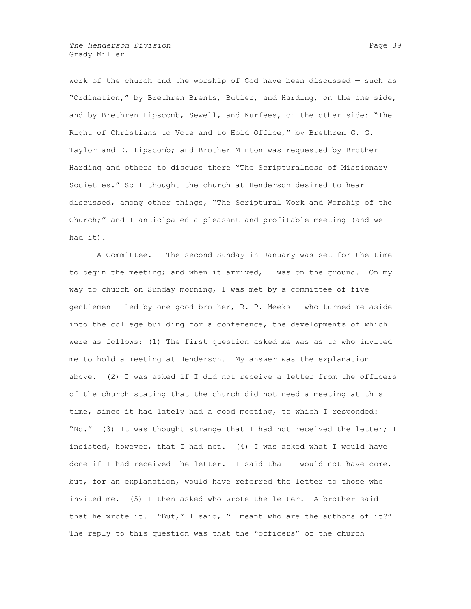*The Henderson Division* **Page 39** Grady Miller

work of the church and the worship of God have been discussed — such as "Ordination," by Brethren Brents, Butler, and Harding, on the one side, and by Brethren Lipscomb, Sewell, and Kurfees, on the other side: "The Right of Christians to Vote and to Hold Office," by Brethren G. G. Taylor and D. Lipscomb; and Brother Minton was requested by Brother Harding and others to discuss there "The Scripturalness of Missionary Societies." So I thought the church at Henderson desired to hear discussed, among other things, "The Scriptural Work and Worship of the Church;" and I anticipated a pleasant and profitable meeting (and we had it).

A Committee. — The second Sunday in January was set for the time to begin the meeting; and when it arrived, I was on the ground. On my way to church on Sunday morning, I was met by a committee of five gentlemen — led by one good brother, R. P. Meeks — who turned me aside into the college building for a conference, the developments of which were as follows: (1) The first question asked me was as to who invited me to hold a meeting at Henderson. My answer was the explanation above. (2) I was asked if I did not receive a letter from the officers of the church stating that the church did not need a meeting at this time, since it had lately had a good meeting, to which I responded: "No." (3) It was thought strange that I had not received the letter; I insisted, however, that I had not. (4) I was asked what I would have done if I had received the letter. I said that I would not have come, but, for an explanation, would have referred the letter to those who invited me. (5) I then asked who wrote the letter. A brother said that he wrote it. "But," I said, "I meant who are the authors of it?" The reply to this question was that the "officers" of the church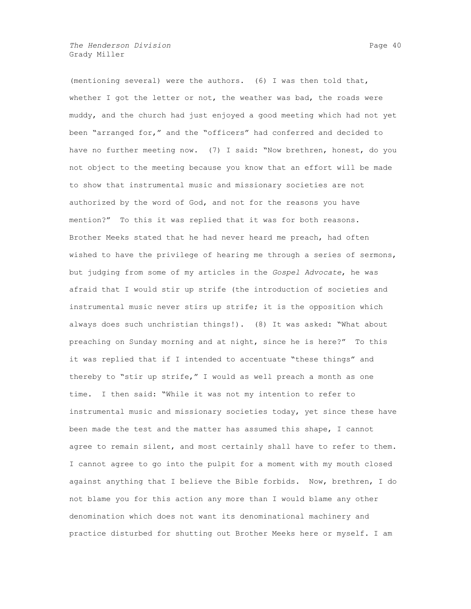*The Henderson Division* **Page 40 Page 40 Page 40** Grady Miller

(mentioning several) were the authors. (6) I was then told that, whether I got the letter or not, the weather was bad, the roads were muddy, and the church had just enjoyed a good meeting which had not yet been "arranged for," and the "officers" had conferred and decided to have no further meeting now. (7) I said: "Now brethren, honest, do you not object to the meeting because you know that an effort will be made to show that instrumental music and missionary societies are not authorized by the word of God, and not for the reasons you have mention?" To this it was replied that it was for both reasons. Brother Meeks stated that he had never heard me preach, had often wished to have the privilege of hearing me through a series of sermons, but judging from some of my articles in the *Gospel Advocate*, he was afraid that I would stir up strife (the introduction of societies and instrumental music never stirs up strife; it is the opposition which always does such unchristian things!). (8) It was asked: "What about preaching on Sunday morning and at night, since he is here?" To this it was replied that if I intended to accentuate "these things" and thereby to "stir up strife," I would as well preach a month as one time. I then said: "While it was not my intention to refer to instrumental music and missionary societies today, yet since these have been made the test and the matter has assumed this shape, I cannot agree to remain silent, and most certainly shall have to refer to them. I cannot agree to go into the pulpit for a moment with my mouth closed against anything that I believe the Bible forbids. Now, brethren, I do not blame you for this action any more than I would blame any other denomination which does not want its denominational machinery and practice disturbed for shutting out Brother Meeks here or myself. I am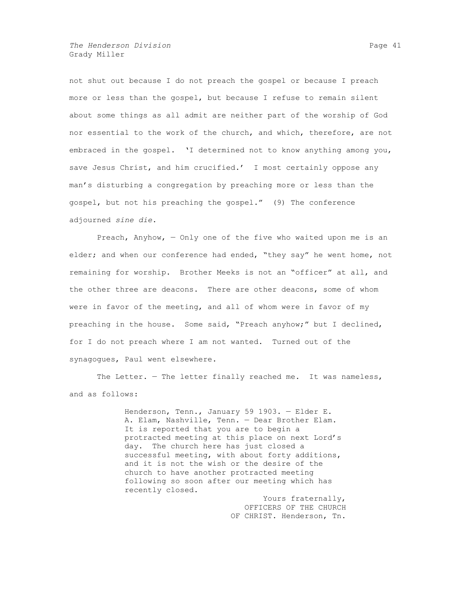*The Henderson Division* **Page 41 Page 41** Grady Miller

not shut out because I do not preach the gospel or because I preach more or less than the gospel, but because I refuse to remain silent about some things as all admit are neither part of the worship of God nor essential to the work of the church, and which, therefore, are not embraced in the gospel. 'I determined not to know anything among you, save Jesus Christ, and him crucified.' I most certainly oppose any man's disturbing a congregation by preaching more or less than the gospel, but not his preaching the gospel." (9) The conference adjourned *sine die*.

Preach, Anyhow, — Only one of the five who waited upon me is an elder; and when our conference had ended, "they say" he went home, not remaining for worship. Brother Meeks is not an "officer" at all, and the other three are deacons. There are other deacons, some of whom were in favor of the meeting, and all of whom were in favor of my preaching in the house. Some said, "Preach anyhow;" but I declined, for I do not preach where I am not wanted. Turned out of the synagogues, Paul went elsewhere.

The Letter. - The letter finally reached me. It was nameless, and as follows:

> Henderson, Tenn., January 59 1903. — Elder E. A. Elam, Nashville, Tenn. — Dear Brother Elam. It is reported that you are to begin a protracted meeting at this place on next Lord's day. The church here has just closed a successful meeting, with about forty additions, and it is not the wish or the desire of the church to have another protracted meeting following so soon after our meeting which has recently closed.

Yours fraternally, OFFICERS OF THE CHURCH OF CHRIST. Henderson, Tn.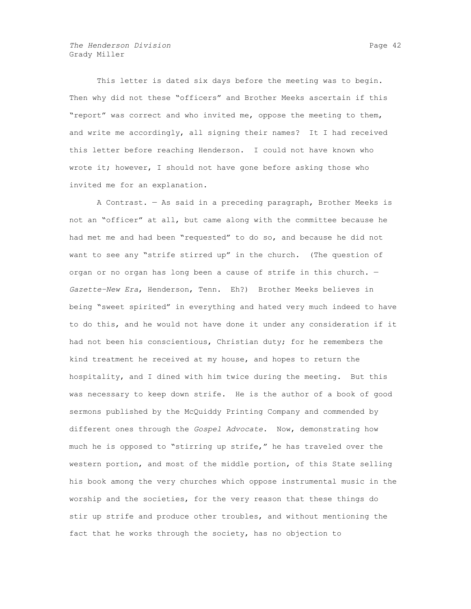This letter is dated six days before the meeting was to begin. Then why did not these "officers" and Brother Meeks ascertain if this "report" was correct and who invited me, oppose the meeting to them, and write me accordingly, all signing their names? It I had received this letter before reaching Henderson. I could not have known who wrote it; however, I should not have gone before asking those who invited me for an explanation.

A Contrast. — As said in a preceding paragraph, Brother Meeks is not an "officer" at all, but came along with the committee because he had met me and had been "requested" to do so, and because he did not want to see any "strife stirred up" in the church. (The question of organ or no organ has long been a cause of strife in this church. — *Gazette–New Era*, Henderson, Tenn. Eh?) Brother Meeks believes in being "sweet spirited" in everything and hated very much indeed to have to do this, and he would not have done it under any consideration if it had not been his conscientious, Christian duty; for he remembers the kind treatment he received at my house, and hopes to return the hospitality, and I dined with him twice during the meeting. But this was necessary to keep down strife. He is the author of a book of good sermons published by the McQuiddy Printing Company and commended by different ones through the *Gospel Advocate*. Now, demonstrating how much he is opposed to "stirring up strife," he has traveled over the western portion, and most of the middle portion, of this State selling his book among the very churches which oppose instrumental music in the worship and the societies, for the very reason that these things do stir up strife and produce other troubles, and without mentioning the fact that he works through the society, has no objection to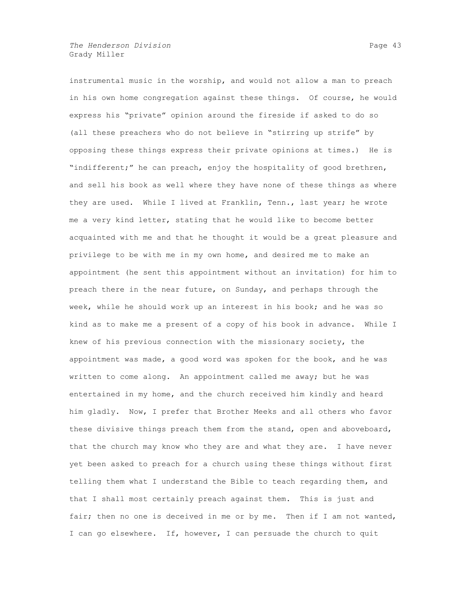instrumental music in the worship, and would not allow a man to preach in his own home congregation against these things. Of course, he would express his "private" opinion around the fireside if asked to do so (all these preachers who do not believe in "stirring up strife" by opposing these things express their private opinions at times.) He is "indifferent;" he can preach, enjoy the hospitality of good brethren, and sell his book as well where they have none of these things as where they are used. While I lived at Franklin, Tenn., last year; he wrote me a very kind letter, stating that he would like to become better acquainted with me and that he thought it would be a great pleasure and privilege to be with me in my own home, and desired me to make an appointment (he sent this appointment without an invitation) for him to preach there in the near future, on Sunday, and perhaps through the week, while he should work up an interest in his book; and he was so kind as to make me a present of a copy of his book in advance. While I knew of his previous connection with the missionary society, the appointment was made, a good word was spoken for the book, and he was written to come along. An appointment called me away; but he was entertained in my home, and the church received him kindly and heard him gladly. Now, I prefer that Brother Meeks and all others who favor these divisive things preach them from the stand, open and aboveboard, that the church may know who they are and what they are. I have never yet been asked to preach for a church using these things without first telling them what I understand the Bible to teach regarding them, and that I shall most certainly preach against them. This is just and fair; then no one is deceived in me or by me. Then if I am not wanted, I can go elsewhere. If, however, I can persuade the church to quit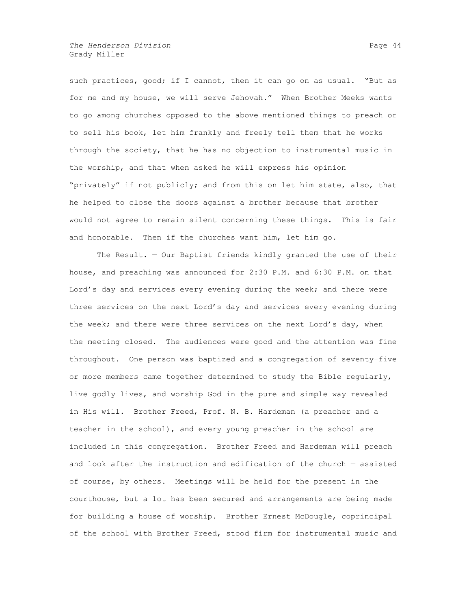*The Henderson Division* **Page 44** Grady Miller

such practices, good; if I cannot, then it can go on as usual. "But as for me and my house, we will serve Jehovah." When Brother Meeks wants to go among churches opposed to the above mentioned things to preach or to sell his book, let him frankly and freely tell them that he works through the society, that he has no objection to instrumental music in the worship, and that when asked he will express his opinion "privately" if not publicly; and from this on let him state, also, that he helped to close the doors against a brother because that brother would not agree to remain silent concerning these things. This is fair and honorable. Then if the churches want him, let him go.

The Result. — Our Baptist friends kindly granted the use of their house, and preaching was announced for 2:30 P.M. and 6:30 P.M. on that Lord's day and services every evening during the week; and there were three services on the next Lord's day and services every evening during the week; and there were three services on the next Lord's day, when the meeting closed. The audiences were good and the attention was fine throughout. One person was baptized and a congregation of seventy–five or more members came together determined to study the Bible regularly, live godly lives, and worship God in the pure and simple way revealed in His will. Brother Freed, Prof. N. B. Hardeman (a preacher and a teacher in the school), and every young preacher in the school are included in this congregation. Brother Freed and Hardeman will preach and look after the instruction and edification of the church — assisted of course, by others. Meetings will be held for the present in the courthouse, but a lot has been secured and arrangements are being made for building a house of worship. Brother Ernest McDougle, coprincipal of the school with Brother Freed, stood firm for instrumental music and